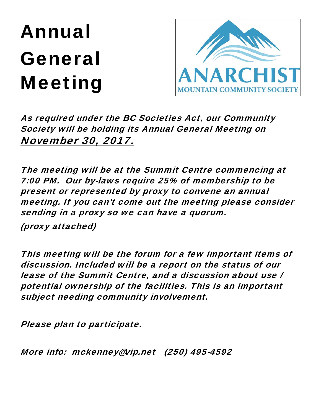## Annual General Meeting



As required under the BC Societies Act, our Community Society will be holding its Annual General Meeting on November 30, 2017.

The meeting will be at the Summit Centre commencing at 7:00 PM. Our by-laws require 25% of membership to be present or represented by proxy to convene an annual meeting. If you can't come out the meeting please consider sending in a proxy so we can have a quorum.

(proxy attached)

This meeting will be the forum for a few important items of discussion. Included will be a report on the status of our lease of the Summit Centre, and a discussion about use / potential ownership of the facilities. This is an important subject needing community involvement.

Please plan to participate.

More info: mckenney@vip.net (250) 495-4592